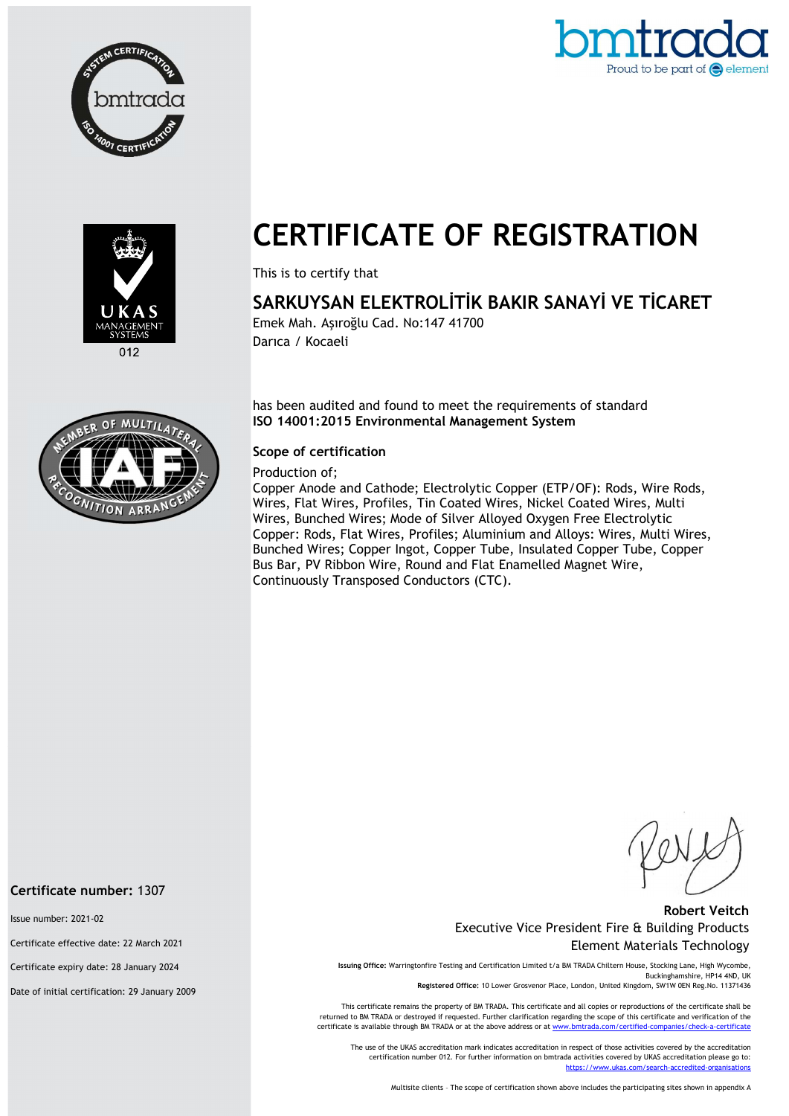





 $012$ 

# CERTIFICATE OF REGISTRATION

This is to certify that

## SARKUYSAN ELEKTROLİTİK BAKIR SANAYİ VE TİCARET

Emek Mah. Aşıroğlu Cad. No:147 41700 Darıca / Kocaeli

has been audited and found to meet the requirements of standard ISO 14001:2015 Environmental Management System

#### Scope of certification

#### Production of;

Copper Anode and Cathode; Electrolytic Copper (ETP/OF): Rods, Wire Rods, Wires, Flat Wires, Profiles, Tin Coated Wires, Nickel Coated Wires, Multi Wires, Bunched Wires; Mode of Silver Alloyed Oxygen Free Electrolytic Copper: Rods, Flat Wires, Profiles; Aluminium and Alloys: Wires, Multi Wires, Bunched Wires; Copper Ingot, Copper Tube, Insulated Copper Tube, Copper Bus Bar, PV Ribbon Wire, Round and Flat Enamelled Magnet Wire, Continuously Transposed Conductors (CTC).

#### Robert Veitch Executive Vice President Fire & Building Products Element Materials Technology

Issuing Office: Warringtonfire Testing and Certification Limited t/a BM TRADA Chiltern House, Stocking Lane, High Wycombe, Buckinghamshire, HP14 4ND, UK Registered Office: 10 Lower Grosvenor Place, London, United Kingdom, SW1W 0EN Reg.No. 11371436

This certificate remains the property of BM TRADA. This certificate and all copies or reproductions of the certificate shall be returned to BM TRADA or destroyed if requested. Further clarification regarding the scope of this certificate and verification of the certificate is available through BM TRADA or at the above address or at ww

The use of the UKAS accreditation mark indicates accreditation in respect of those activities covered by the accreditation certification number 012. For further information on bmtrada activities covered by UKAS accreditation please go to:<br>https://www.ukas.com/search-accredited-organisations l/search-accredited-organi

Multisite clients – The scope of certification shown above includes the participating sites shown in appendix A



#### Certificate number: 1307

Issue number: 2021-02

Certificate effective date: 22 March 2021

Certificate expiry date: 28 January 2024

Date of initial certification: 29 January 2009